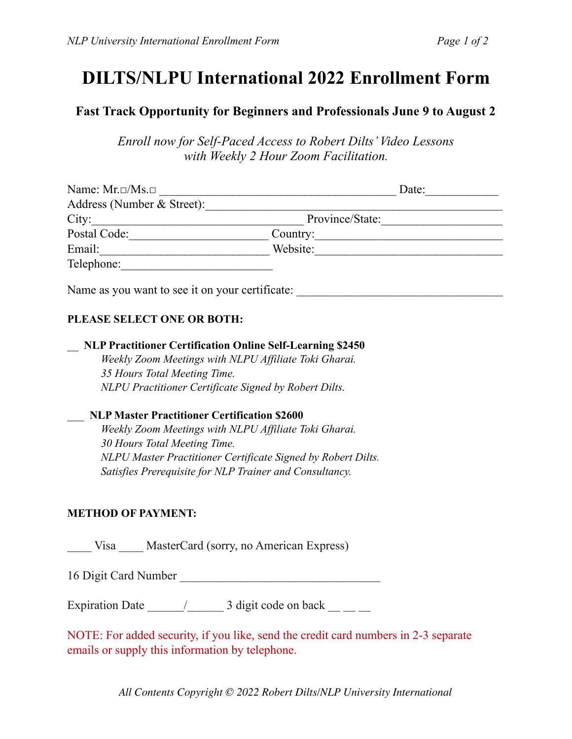# **DILTS/NLPU International 2022 Enrollment Form**

## **Fast Track Opportunity for Beginners and Professionals June 9 to August 2**

*Enroll now for Self-Paced Access to Robert Dilts' Video Lessons with Weekly 2 Hour Zoom Facilitation.* 

| Name: $Mr.\Box/Ms.\Box$                                                                                                                                                                                                                 | Date:           |
|-----------------------------------------------------------------------------------------------------------------------------------------------------------------------------------------------------------------------------------------|-----------------|
| Address (Number & Street):                                                                                                                                                                                                              |                 |
| City:                                                                                                                                                                                                                                   | Province/State: |
| Postal Code:                                                                                                                                                                                                                            |                 |
| Email:                                                                                                                                                                                                                                  | Website:        |
| Telephone:                                                                                                                                                                                                                              |                 |
| T<br>$\mathcal{L}$ , and the contract of the contract of the contract of the contract of the contract of the contract of the contract of the contract of the contract of the contract of the contract of the contract of the contract o |                 |

Name as you want to see it on your certificate:

#### **PLEASE SELECT ONE OR BOTH:**

#### \_\_ **NLP Practitioner Certification Online Self-Learning \$2450**

*Weekly Zoom Meetings with NLPU Affiliate Toki Gharai. 35 Hours Total Meeting Time. NLPU Practitioner Certificate Signed by Robert Dilts.* 

#### \_\_\_ **NLP Master Practitioner Certification \$2600**

*Weekly Zoom Meetings with NLPU Affiliate Toki Gharai. 30 Hours Total Meeting Time. NLPU Master Practitioner Certificate Signed by Robert Dilts. Satisfies Prerequisite for NLP Trainer and Consultancy.* 

### **METHOD OF PAYMENT:**

Visa MasterCard (sorry, no American Express)

16 Digit Card Number

Expiration Date  $\frac{1}{2}$   $\frac{3 \text{ digit code on back}}{2}$ 

NOTE: For added security, if you like, send the credit card numbers in 2-3 separate emails or supply this information by telephone.

*All Contents Copyright © 2022 Robert Dilts/NLP University International*